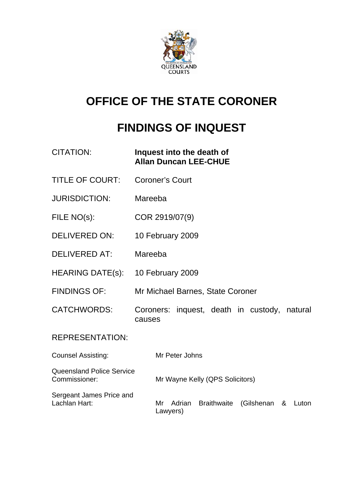

# **OFFICE OF THE STATE CORONER**

# **FINDINGS OF INQUEST**

| <b>CITATION:</b>                                  | Inquest into the death of<br><b>Allan Duncan LEE-CHUE</b>                  |  |
|---------------------------------------------------|----------------------------------------------------------------------------|--|
| <b>TITLE OF COURT:</b>                            | <b>Coroner's Court</b>                                                     |  |
| <b>JURISDICTION:</b>                              | Mareeba                                                                    |  |
| FILE NO(s):                                       | COR 2919/07(9)                                                             |  |
| <b>DELIVERED ON:</b>                              | 10 February 2009                                                           |  |
| <b>DELIVERED AT:</b>                              | Mareeba                                                                    |  |
| <b>HEARING DATE(s):</b>                           | 10 February 2009                                                           |  |
| <b>FINDINGS OF:</b>                               | Mr Michael Barnes, State Coroner                                           |  |
| <b>CATCHWORDS:</b>                                | inquest, death in custody,<br>Coroners:<br>natural<br>causes               |  |
| <b>REPRESENTATION:</b>                            |                                                                            |  |
| <b>Counsel Assisting:</b>                         | Mr Peter Johns                                                             |  |
| <b>Queensland Police Service</b><br>Commissioner: | Mr Wayne Kelly (QPS Solicitors)                                            |  |
| Sergeant James Price and<br>Lachlan Hart:         | <b>Braithwaite</b><br>Adrian<br>(Gilshenan<br>Mr<br>Luton<br>&<br>Lawyers) |  |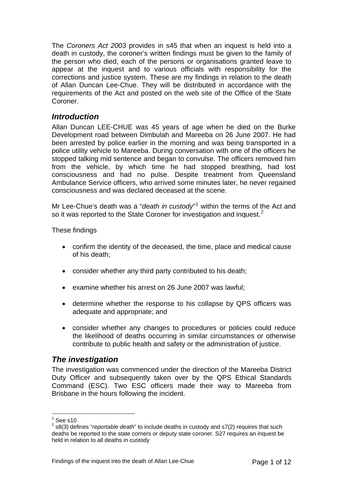<span id="page-2-0"></span>The *Coroners Act 2003* provides in s45 that when an inquest is held into a death in custody, the coroner's written findings must be given to the family of the person who died, each of the persons or organisations granted leave to appear at the inquest and to various officials with responsibility for the corrections and justice system. These are my findings in relation to the death of Allan Duncan Lee-Chue. They will be distributed in accordance with the requirements of the Act and posted on the web site of the Office of the State Coroner.

# *Introduction*

Allan Duncan LEE-CHUE was 45 years of age when he died on the Burke Development road between Dimbulah and Mareeba on 26 June 2007. He had been arrested by police earlier in the morning and was being transported in a police utility vehicle to Mareeba. During conversation with one of the officers he stopped talking mid sentence and began to convulse. The officers removed him from the vehicle, by which time he had stopped breathing, had lost consciousness and had no pulse. Despite treatment from Queensland Ambulance Service officers, who arrived some minutes later, he never regained consciousness and was declared deceased at the scene.

Mr Lee-Chue's death was a "*death in custody*"<sup>[1](#page-2-1)</sup> within the terms of the Act and so it was reported to the State Coroner for investigation and inquest.<sup>[2](#page-2-2)</sup>

These findings

- confirm the identity of the deceased, the time, place and medical cause of his death;
- consider whether any third party contributed to his death;
- examine whether his arrest on 26 June 2007 was lawful:
- determine whether the response to his collapse by QPS officers was adequate and appropriate; and
- consider whether any changes to procedures or policies could reduce the likelihood of deaths occurring in similar circumstances or otherwise contribute to public health and safety or the administration of justice.

# *The investigation*

The investigation was commenced under the direction of the Mareeba District Duty Officer and subsequently taken over by the QPS Ethical Standards Command (ESC). Two ESC officers made their way to Mareeba from Brisbane in the hours following the incident.

 $\frac{1}{1}$ See s10

<span id="page-2-2"></span><span id="page-2-1"></span><sup>2</sup> s8(3) defines "*reportable death*" to include deaths in custody and s7(2) requires that such deaths be reported to the state corners or deputy state coroner. S27 requires an inquest be held in relation to all deaths in custody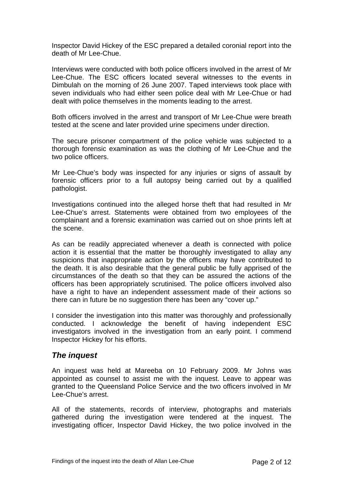<span id="page-3-0"></span>Inspector David Hickey of the ESC prepared a detailed coronial report into the death of Mr Lee-Chue.

Interviews were conducted with both police officers involved in the arrest of Mr Lee-Chue. The ESC officers located several witnesses to the events in Dimbulah on the morning of 26 June 2007. Taped interviews took place with seven individuals who had either seen police deal with Mr Lee-Chue or had dealt with police themselves in the moments leading to the arrest.

Both officers involved in the arrest and transport of Mr Lee-Chue were breath tested at the scene and later provided urine specimens under direction.

The secure prisoner compartment of the police vehicle was subjected to a thorough forensic examination as was the clothing of Mr Lee-Chue and the two police officers.

Mr Lee-Chue's body was inspected for any injuries or signs of assault by forensic officers prior to a full autopsy being carried out by a qualified pathologist.

Investigations continued into the alleged horse theft that had resulted in Mr Lee-Chue's arrest. Statements were obtained from two employees of the complainant and a forensic examination was carried out on shoe prints left at the scene.

As can be readily appreciated whenever a death is connected with police action it is essential that the matter be thoroughly investigated to allay any suspicions that inappropriate action by the officers may have contributed to the death. It is also desirable that the general public be fully apprised of the circumstances of the death so that they can be assured the actions of the officers has been appropriately scrutinised. The police officers involved also have a right to have an independent assessment made of their actions so there can in future be no suggestion there has been any "cover up."

I consider the investigation into this matter was thoroughly and professionally conducted. I acknowledge the benefit of having independent ESC investigators involved in the investigation from an early point. I commend Inspector Hickey for his efforts.

# *The inquest*

An inquest was held at Mareeba on 10 February 2009. Mr Johns was appointed as counsel to assist me with the inquest. Leave to appear was granted to the Queensland Police Service and the two officers involved in Mr Lee-Chue's arrest.

All of the statements, records of interview, photographs and materials gathered during the investigation were tendered at the inquest. The investigating officer, Inspector David Hickey, the two police involved in the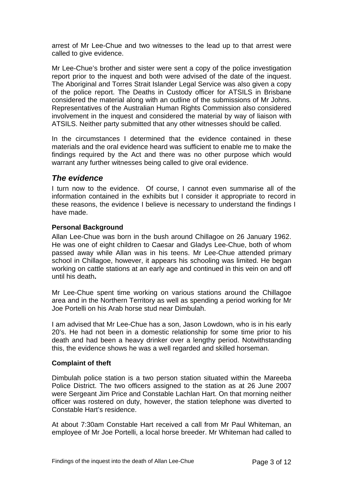<span id="page-4-0"></span>arrest of Mr Lee-Chue and two witnesses to the lead up to that arrest were called to give evidence.

Mr Lee-Chue's brother and sister were sent a copy of the police investigation report prior to the inquest and both were advised of the date of the inquest. The Aboriginal and Torres Strait Islander Legal Service was also given a copy of the police report. The Deaths in Custody officer for ATSILS in Brisbane considered the material along with an outline of the submissions of Mr Johns. Representatives of the Australian Human Rights Commission also considered involvement in the inquest and considered the material by way of liaison with ATSILS. Neither party submitted that any other witnesses should be called.

In the circumstances I determined that the evidence contained in these materials and the oral evidence heard was sufficient to enable me to make the findings required by the Act and there was no other purpose which would warrant any further witnesses being called to give oral evidence.

# *The evidence*

I turn now to the evidence. Of course, I cannot even summarise all of the information contained in the exhibits but I consider it appropriate to record in these reasons, the evidence I believe is necessary to understand the findings I have made.

### **Personal Background**

Allan Lee-Chue was born in the bush around Chillagoe on 26 January 1962. He was one of eight children to Caesar and Gladys Lee-Chue, both of whom passed away while Allan was in his teens. Mr Lee-Chue attended primary school in Chillagoe, however, it appears his schooling was limited. He began working on cattle stations at an early age and continued in this vein on and off until his death**.** 

Mr Lee-Chue spent time working on various stations around the Chillagoe area and in the Northern Territory as well as spending a period working for Mr Joe Portelli on his Arab horse stud near Dimbulah.

I am advised that Mr Lee-Chue has a son, Jason Lowdown, who is in his early 20's. He had not been in a domestic relationship for some time prior to his death and had been a heavy drinker over a lengthy period. Notwithstanding this, the evidence shows he was a well regarded and skilled horseman.

#### **Complaint of theft**

Dimbulah police station is a two person station situated within the Mareeba Police District. The two officers assigned to the station as at 26 June 2007 were Sergeant Jim Price and Constable Lachlan Hart. On that morning neither officer was rostered on duty, however, the station telephone was diverted to Constable Hart's residence.

At about 7:30am Constable Hart received a call from Mr Paul Whiteman, an employee of Mr Joe Portelli, a local horse breeder. Mr Whiteman had called to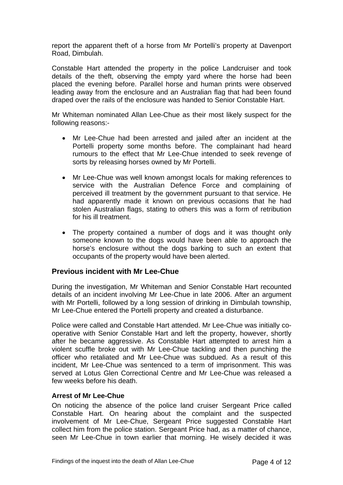<span id="page-5-0"></span>report the apparent theft of a horse from Mr Portelli's property at Davenport Road, Dimbulah.

Constable Hart attended the property in the police Landcruiser and took details of the theft, observing the empty yard where the horse had been placed the evening before. Parallel horse and human prints were observed leading away from the enclosure and an Australian flag that had been found draped over the rails of the enclosure was handed to Senior Constable Hart.

Mr Whiteman nominated Allan Lee-Chue as their most likely suspect for the following reasons:-

- Mr Lee-Chue had been arrested and jailed after an incident at the Portelli property some months before. The complainant had heard rumours to the effect that Mr Lee-Chue intended to seek revenge of sorts by releasing horses owned by Mr Portelli.
- Mr Lee-Chue was well known amongst locals for making references to service with the Australian Defence Force and complaining of perceived ill treatment by the government pursuant to that service. He had apparently made it known on previous occasions that he had stolen Australian flags, stating to others this was a form of retribution for his ill treatment.
- The property contained a number of dogs and it was thought only someone known to the dogs would have been able to approach the horse's enclosure without the dogs barking to such an extent that occupants of the property would have been alerted.

#### **Previous incident with Mr Lee-Chue**

During the investigation, Mr Whiteman and Senior Constable Hart recounted details of an incident involving Mr Lee-Chue in late 2006. After an argument with Mr Portelli, followed by a long session of drinking in Dimbulah township, Mr Lee-Chue entered the Portelli property and created a disturbance.

Police were called and Constable Hart attended. Mr Lee-Chue was initially cooperative with Senior Constable Hart and left the property, however, shortly after he became aggressive. As Constable Hart attempted to arrest him a violent scuffle broke out with Mr Lee-Chue tackling and then punching the officer who retaliated and Mr Lee-Chue was subdued. As a result of this incident, Mr Lee-Chue was sentenced to a term of imprisonment. This was served at Lotus Glen Correctional Centre and Mr Lee-Chue was released a few weeks before his death.

#### **Arrest of Mr Lee-Chue**

On noticing the absence of the police land cruiser Sergeant Price called Constable Hart. On hearing about the complaint and the suspected involvement of Mr Lee-Chue, Sergeant Price suggested Constable Hart collect him from the police station. Sergeant Price had, as a matter of chance, seen Mr Lee-Chue in town earlier that morning. He wisely decided it was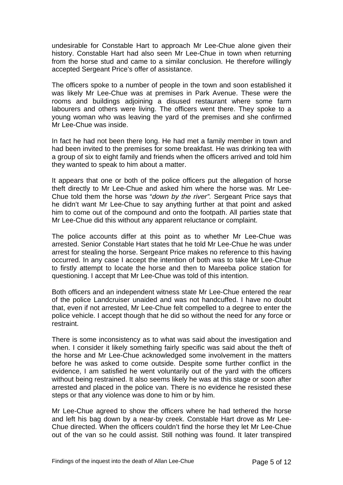undesirable for Constable Hart to approach Mr Lee-Chue alone given their history. Constable Hart had also seen Mr Lee-Chue in town when returning from the horse stud and came to a similar conclusion. He therefore willingly accepted Sergeant Price's offer of assistance.

The officers spoke to a number of people in the town and soon established it was likely Mr Lee-Chue was at premises in Park Avenue. These were the rooms and buildings adjoining a disused restaurant where some farm labourers and others were living. The officers went there. They spoke to a young woman who was leaving the yard of the premises and she confirmed Mr Lee-Chue was inside.

In fact he had not been there long. He had met a family member in town and had been invited to the premises for some breakfast. He was drinking tea with a group of six to eight family and friends when the officers arrived and told him they wanted to speak to him about a matter.

It appears that one or both of the police officers put the allegation of horse theft directly to Mr Lee-Chue and asked him where the horse was. Mr Lee-Chue told them the horse was "*down by the river".* Sergeant Price says that he didn't want Mr Lee-Chue to say anything further at that point and asked him to come out of the compound and onto the footpath. All parties state that Mr Lee-Chue did this without any apparent reluctance or complaint.

The police accounts differ at this point as to whether Mr Lee-Chue was arrested. Senior Constable Hart states that he told Mr Lee-Chue he was under arrest for stealing the horse. Sergeant Price makes no reference to this having occurred. In any case I accept the intention of both was to take Mr Lee-Chue to firstly attempt to locate the horse and then to Mareeba police station for questioning. I accept that Mr Lee-Chue was told of this intention.

Both officers and an independent witness state Mr Lee-Chue entered the rear of the police Landcruiser unaided and was not handcuffed. I have no doubt that, even if not arrested, Mr Lee-Chue felt compelled to a degree to enter the police vehicle. I accept though that he did so without the need for any force or restraint.

There is some inconsistency as to what was said about the investigation and when. I consider it likely something fairly specific was said about the theft of the horse and Mr Lee-Chue acknowledged some involvement in the matters before he was asked to come outside. Despite some further conflict in the evidence, I am satisfied he went voluntarily out of the yard with the officers without being restrained. It also seems likely he was at this stage or soon after arrested and placed in the police van. There is no evidence he resisted these steps or that any violence was done to him or by him.

Mr Lee-Chue agreed to show the officers where he had tethered the horse and left his bag down by a near-by creek. Constable Hart drove as Mr Lee-Chue directed. When the officers couldn't find the horse they let Mr Lee-Chue out of the van so he could assist. Still nothing was found. It later transpired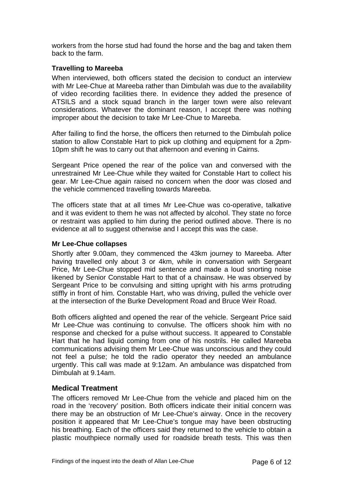<span id="page-7-0"></span>workers from the horse stud had found the horse and the bag and taken them back to the farm.

### **Travelling to Mareeba**

When interviewed, both officers stated the decision to conduct an interview with Mr Lee-Chue at Mareeba rather than Dimbulah was due to the availability of video recording facilities there. In evidence they added the presence of ATSILS and a stock squad branch in the larger town were also relevant considerations. Whatever the dominant reason, I accept there was nothing improper about the decision to take Mr Lee-Chue to Mareeba.

After failing to find the horse, the officers then returned to the Dimbulah police station to allow Constable Hart to pick up clothing and equipment for a 2pm-10pm shift he was to carry out that afternoon and evening in Cairns.

Sergeant Price opened the rear of the police van and conversed with the unrestrained Mr Lee-Chue while they waited for Constable Hart to collect his gear. Mr Lee-Chue again raised no concern when the door was closed and the vehicle commenced travelling towards Mareeba.

The officers state that at all times Mr Lee-Chue was co-operative, talkative and it was evident to them he was not affected by alcohol. They state no force or restraint was applied to him during the period outlined above. There is no evidence at all to suggest otherwise and I accept this was the case.

#### **Mr Lee-Chue collapses**

Shortly after 9.00am, they commenced the 43km journey to Mareeba. After having travelled only about 3 or 4km, while in conversation with Sergeant Price, Mr Lee-Chue stopped mid sentence and made a loud snorting noise likened by Senior Constable Hart to that of a chainsaw. He was observed by Sergeant Price to be convulsing and sitting upright with his arms protruding stiffly in front of him. Constable Hart, who was driving, pulled the vehicle over at the intersection of the Burke Development Road and Bruce Weir Road.

Both officers alighted and opened the rear of the vehicle. Sergeant Price said Mr Lee-Chue was continuing to convulse. The officers shook him with no response and checked for a pulse without success. It appeared to Constable Hart that he had liquid coming from one of his nostrils. He called Mareeba communications advising them Mr Lee-Chue was unconscious and they could not feel a pulse; he told the radio operator they needed an ambulance urgently. This call was made at 9:12am. An ambulance was dispatched from Dimbulah at 9.14am.

## **Medical Treatment**

The officers removed Mr Lee-Chue from the vehicle and placed him on the road in the 'recovery' position. Both officers indicate their initial concern was there may be an obstruction of Mr Lee-Chue's airway. Once in the recovery position it appeared that Mr Lee-Chue's tongue may have been obstructing his breathing. Each of the officers said they returned to the vehicle to obtain a plastic mouthpiece normally used for roadside breath tests. This was then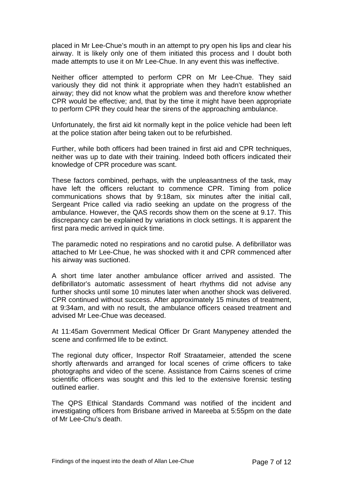placed in Mr Lee-Chue's mouth in an attempt to pry open his lips and clear his airway. It is likely only one of them initiated this process and I doubt both made attempts to use it on Mr Lee-Chue. In any event this was ineffective.

Neither officer attempted to perform CPR on Mr Lee-Chue. They said variously they did not think it appropriate when they hadn't established an airway; they did not know what the problem was and therefore know whether CPR would be effective; and, that by the time it might have been appropriate to perform CPR they could hear the sirens of the approaching ambulance.

Unfortunately, the first aid kit normally kept in the police vehicle had been left at the police station after being taken out to be refurbished.

Further, while both officers had been trained in first aid and CPR techniques, neither was up to date with their training. Indeed both officers indicated their knowledge of CPR procedure was scant.

These factors combined, perhaps, with the unpleasantness of the task, may have left the officers reluctant to commence CPR. Timing from police communications shows that by 9:18am, six minutes after the initial call, Sergeant Price called via radio seeking an update on the progress of the ambulance. However, the QAS records show them on the scene at 9.17. This discrepancy can be explained by variations in clock settings. It is apparent the first para medic arrived in quick time.

The paramedic noted no respirations and no carotid pulse. A defibrillator was attached to Mr Lee-Chue, he was shocked with it and CPR commenced after his airway was suctioned.

A short time later another ambulance officer arrived and assisted. The defibrillator's automatic assessment of heart rhythms did not advise any further shocks until some 10 minutes later when another shock was delivered. CPR continued without success. After approximately 15 minutes of treatment, at 9:34am, and with no result, the ambulance officers ceased treatment and advised Mr Lee-Chue was deceased.

At 11:45am Government Medical Officer Dr Grant Manypeney attended the scene and confirmed life to be extinct.

The regional duty officer, Inspector Rolf Straatameier, attended the scene shortly afterwards and arranged for local scenes of crime officers to take photographs and video of the scene. Assistance from Cairns scenes of crime scientific officers was sought and this led to the extensive forensic testing outlined earlier.

The QPS Ethical Standards Command was notified of the incident and investigating officers from Brisbane arrived in Mareeba at 5:55pm on the date of Mr Lee-Chu's death.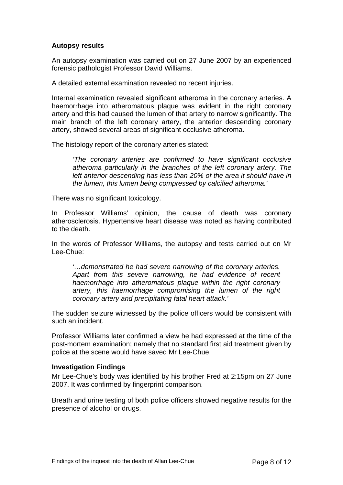### <span id="page-9-0"></span>**Autopsy results**

An autopsy examination was carried out on 27 June 2007 by an experienced forensic pathologist Professor David Williams.

A detailed external examination revealed no recent injuries.

Internal examination revealed significant atheroma in the coronary arteries. A haemorrhage into atheromatous plaque was evident in the right coronary artery and this had caused the lumen of that artery to narrow significantly. The main branch of the left coronary artery, the anterior descending coronary artery, showed several areas of significant occlusive atheroma.

The histology report of the coronary arteries stated:

*'The coronary arteries are confirmed to have significant occlusive atheroma particularly in the branches of the left coronary artery. The left anterior descending has less than 20% of the area it should have in the lumen, this lumen being compressed by calcified atheroma.'* 

There was no significant toxicology.

In Professor Williams' opinion, the cause of death was coronary atherosclerosis. Hypertensive heart disease was noted as having contributed to the death.

In the words of Professor Williams, the autopsy and tests carried out on Mr Lee-Chue:

*'…demonstrated he had severe narrowing of the coronary arteries. Apart from this severe narrowing, he had evidence of recent haemorrhage into atheromatous plaque within the right coronary artery, this haemorrhage compromising the lumen of the right coronary artery and precipitating fatal heart attack.'* 

The sudden seizure witnessed by the police officers would be consistent with such an incident.

Professor Williams later confirmed a view he had expressed at the time of the post-mortem examination; namely that no standard first aid treatment given by police at the scene would have saved Mr Lee-Chue.

#### **Investigation Findings**

Mr Lee-Chue's body was identified by his brother Fred at 2:15pm on 27 June 2007. It was confirmed by fingerprint comparison.

Breath and urine testing of both police officers showed negative results for the presence of alcohol or drugs.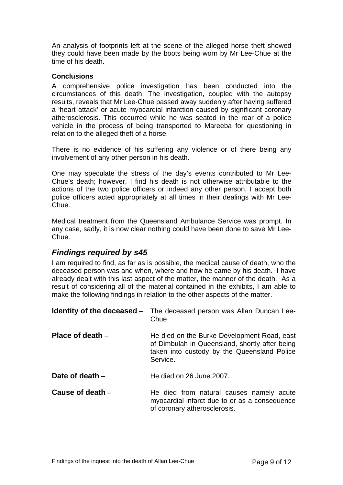<span id="page-10-0"></span>An analysis of footprints left at the scene of the alleged horse theft showed they could have been made by the boots being worn by Mr Lee-Chue at the time of his death.

#### **Conclusions**

A comprehensive police investigation has been conducted into the circumstances of this death. The investigation, coupled with the autopsy results, reveals that Mr Lee-Chue passed away suddenly after having suffered a 'heart attack' or acute myocardial infarction caused by significant coronary atherosclerosis. This occurred while he was seated in the rear of a police vehicle in the process of being transported to Mareeba for questioning in relation to the alleged theft of a horse.

There is no evidence of his suffering any violence or of there being any involvement of any other person in his death.

One may speculate the stress of the day's events contributed to Mr Lee-Chue's death; however, I find his death is not otherwise attributable to the actions of the two police officers or indeed any other person. I accept both police officers acted appropriately at all times in their dealings with Mr Lee-Chue.

Medical treatment from the Queensland Ambulance Service was prompt. In any case, sadly, it is now clear nothing could have been done to save Mr Lee-Chue.

# *Findings required by s45*

I am required to find, as far as is possible, the medical cause of death, who the deceased person was and when, where and how he came by his death. I have already dealt with this last aspect of the matter, the manner of the death. As a result of considering all of the material contained in the exhibits, I am able to make the following findings in relation to the other aspects of the matter.

|                    | <b>Identity of the deceased</b> – The deceased person was Allan Duncan Lee-<br>Chue                                                                      |
|--------------------|----------------------------------------------------------------------------------------------------------------------------------------------------------|
| Place of death $-$ | He died on the Burke Development Road, east<br>of Dimbulah in Queensland, shortly after being<br>taken into custody by the Queensland Police<br>Service. |
| Date of death $-$  | He died on 26 June 2007.                                                                                                                                 |
| Cause of death $-$ | He died from natural causes namely acute<br>myocardial infarct due to or as a consequence<br>of coronary atherosclerosis.                                |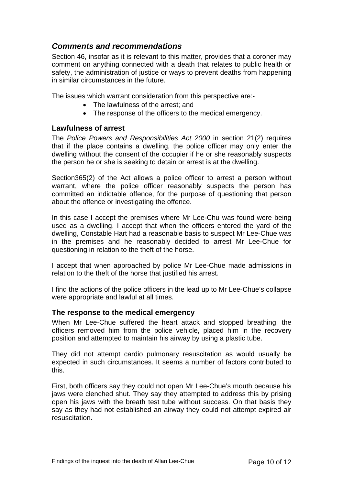# <span id="page-11-0"></span>*Comments and recommendations*

Section 46, insofar as it is relevant to this matter, provides that a coroner may comment on anything connected with a death that relates to public health or safety, the administration of justice or ways to prevent deaths from happening in similar circumstances in the future.

The issues which warrant consideration from this perspective are:-

- The lawfulness of the arrest; and
- The response of the officers to the medical emergency.

## **Lawfulness of arrest**

The *Police Powers and Responsibilities Act 2000* in section 21(2) requires that if the place contains a dwelling, the police officer may only enter the dwelling without the consent of the occupier if he or she reasonably suspects the person he or she is seeking to detain or arrest is at the dwelling.

Section365(2) of the Act allows a police officer to arrest a person without warrant, where the police officer reasonably suspects the person has committed an indictable offence, for the purpose of questioning that person about the offence or investigating the offence.

In this case I accept the premises where Mr Lee-Chu was found were being used as a dwelling. I accept that when the officers entered the yard of the dwelling, Constable Hart had a reasonable basis to suspect Mr Lee-Chue was in the premises and he reasonably decided to arrest Mr Lee-Chue for questioning in relation to the theft of the horse.

I accept that when approached by police Mr Lee-Chue made admissions in relation to the theft of the horse that justified his arrest.

I find the actions of the police officers in the lead up to Mr Lee-Chue's collapse were appropriate and lawful at all times.

#### **The response to the medical emergency**

When Mr Lee-Chue suffered the heart attack and stopped breathing, the officers removed him from the police vehicle, placed him in the recovery position and attempted to maintain his airway by using a plastic tube.

They did not attempt cardio pulmonary resuscitation as would usually be expected in such circumstances. It seems a number of factors contributed to this.

First, both officers say they could not open Mr Lee-Chue's mouth because his iaws were clenched shut. They say they attempted to address this by prising open his jaws with the breath test tube without success. On that basis they say as they had not established an airway they could not attempt expired air resuscitation.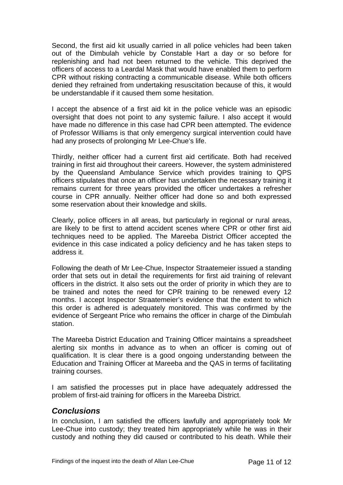<span id="page-12-0"></span>Second, the first aid kit usually carried in all police vehicles had been taken out of the Dimbulah vehicle by Constable Hart a day or so before for replenishing and had not been returned to the vehicle. This deprived the officers of access to a Leardal Mask that would have enabled them to perform CPR without risking contracting a communicable disease. While both officers denied they refrained from undertaking resuscitation because of this, it would be understandable if it caused them some hesitation.

I accept the absence of a first aid kit in the police vehicle was an episodic oversight that does not point to any systemic failure. I also accept it would have made no difference in this case had CPR been attempted. The evidence of Professor Williams is that only emergency surgical intervention could have had any prosects of prolonging Mr Lee-Chue's life.

Thirdly, neither officer had a current first aid certificate. Both had received training in first aid throughout their careers. However, the system administered by the Queensland Ambulance Service which provides training to QPS officers stipulates that once an officer has undertaken the necessary training it remains current for three years provided the officer undertakes a refresher course in CPR annually. Neither officer had done so and both expressed some reservation about their knowledge and skills.

Clearly, police officers in all areas, but particularly in regional or rural areas, are likely to be first to attend accident scenes where CPR or other first aid techniques need to be applied. The Mareeba District Officer accepted the evidence in this case indicated a policy deficiency and he has taken steps to address it.

Following the death of Mr Lee-Chue, Inspector Straatemeier issued a standing order that sets out in detail the requirements for first aid training of relevant officers in the district. It also sets out the order of priority in which they are to be trained and notes the need for CPR training to be renewed every 12 months. I accept Inspector Straatemeier's evidence that the extent to which this order is adhered is adequately monitored. This was confirmed by the evidence of Sergeant Price who remains the officer in charge of the Dimbulah station.

The Mareeba District Education and Training Officer maintains a spreadsheet alerting six months in advance as to when an officer is coming out of qualification. It is clear there is a good ongoing understanding between the Education and Training Officer at Mareeba and the QAS in terms of facilitating training courses.

I am satisfied the processes put in place have adequately addressed the problem of first-aid training for officers in the Mareeba District.

# *Conclusions*

In conclusion, I am satisfied the officers lawfully and appropriately took Mr Lee-Chue into custody; they treated him appropriately while he was in their custody and nothing they did caused or contributed to his death. While their